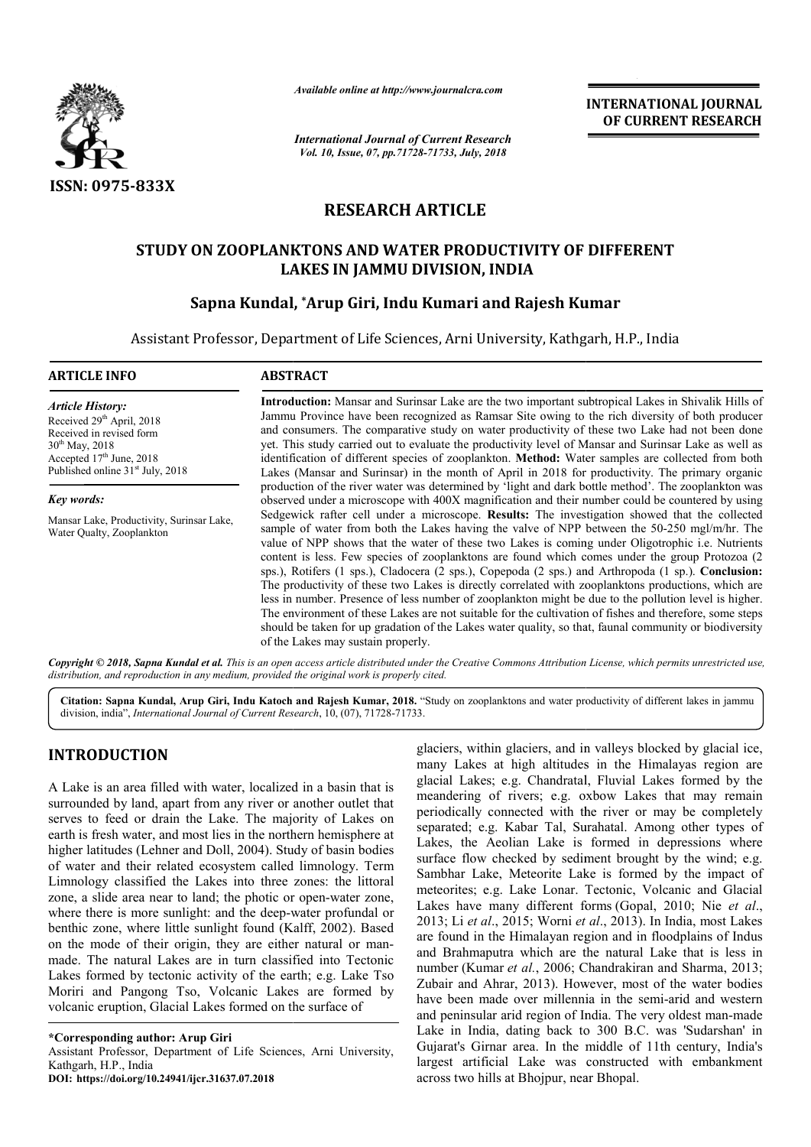

*Available online at http://www.journalcra.com*

*International Journal of Current Research Vol. 10, Issue, 07, pp.71728-71733, July, 2018*

**INTERNATIONAL JOURNAL OF CURRENT RESEARCH**

# **RESEARCH ARTICLE**

### **STUDY ON ZOOPLANKTONS AND WATER PRODUCTIVITY OF DIFFERENT LAKES IN JAMMU DIVISION, INDIA**

## **Sapna Kundal, \*Arup Giri, Indu Kumari and Rajesh Kumar Kumar**

Assistant Professor, Department of Life Sciences, Arni University, Kathgarh, H.P., India

| <b>ARTICLE INFO</b>                                                                                                                                                                               | <b>ABSTRACT</b>                                                                                                                                                                                                                                                                                                                                                                                                                                                                                                                                                                                                                                                                                                                                                                                                                                                                                                                                                                         |
|---------------------------------------------------------------------------------------------------------------------------------------------------------------------------------------------------|-----------------------------------------------------------------------------------------------------------------------------------------------------------------------------------------------------------------------------------------------------------------------------------------------------------------------------------------------------------------------------------------------------------------------------------------------------------------------------------------------------------------------------------------------------------------------------------------------------------------------------------------------------------------------------------------------------------------------------------------------------------------------------------------------------------------------------------------------------------------------------------------------------------------------------------------------------------------------------------------|
| <b>Article History:</b><br>Received 29 <sup>th</sup> April, 2018<br>Received in revised form<br>$30^{th}$ May, 2018<br>Accepted $17th$ June, 2018<br>Published online 31 <sup>st</sup> July, 2018 | <b>Introduction:</b> Mansar and Surinsar Lake are the two important subtropical Lakes in Shivalik Hills of<br>Jammu Province have been recognized as Ramsar Site owing to the rich diversity of both producer<br>and consumers. The comparative study on water productivity of these two Lake had not been done<br>yet. This study carried out to evaluate the productivity level of Mansar and Surinsar Lake as well as<br>identification of different species of zooplankton. Method: Water samples are collected from both<br>Lakes (Mansar and Surinsar) in the month of April in 2018 for productivity. The primary organic                                                                                                                                                                                                                                                                                                                                                        |
| Key words:                                                                                                                                                                                        | production of the river water was determined by 'light and dark bottle method'. The zooplankton was<br>observed under a microscope with 400X magnification and their number could be countered by using                                                                                                                                                                                                                                                                                                                                                                                                                                                                                                                                                                                                                                                                                                                                                                                 |
| Mansar Lake, Productivity, Surinsar Lake,<br>Water Qualty, Zooplankton                                                                                                                            | Sedgewick rafter cell under a microscope. Results: The investigation showed that the collected<br>sample of water from both the Lakes having the valve of NPP between the 50-250 mgl/m/hr. The<br>value of NPP shows that the water of these two Lakes is coming under Oligotrophic i.e. Nutrients<br>content is less. Few species of zooplanktons are found which comes under the group Protozoa (2)<br>sps.), Rotifers (1 sps.), Cladocera (2 sps.), Copepoda (2 sps.) and Arthropoda (1 sp.). Conclusion:<br>The productivity of these two Lakes is directly correlated with zooplanktons productions, which are<br>less in number. Presence of less number of zooplankton might be due to the pollution level is higher.<br>The environment of these Lakes are not suitable for the cultivation of fishes and therefore, some steps<br>should be taken for up gradation of the Lakes water quality, so that, faunal community or biodiversity<br>of the Lakes may sustain properly. |

Copyright © 2018, Sapna Kundal et al. This is an open access article distributed under the Creative Commons Attribution License, which permits unrestricted use, *distribution, and reproduction in any medium, provided the original work is properly cited.*

Citation: Sapna Kundal, Arup Giri, Indu Katoch and Rajesh Kumar, 2018. "Study on zooplanktons and water productivity of different lakes in jammu division, india", *International Journal of Current Research* , 10, (07), 71728-71733.

### **INTRODUCTION**

A Lake is an area filled with water, localized in a basin that is surrounded by land, apart from any river or another outlet that serves to feed or drain the Lake. The majority of Lakes on earth is fresh water, and most lies in the northern hemisphere at higher latitudes (Lehner and Doll, 2004). Study of basin bodies of water and their related ecosystem called limnology. Term Limnology classified the Lakes into three zones: the littoral zone, a slide area near to land; the photic or open-water zone, where there is more sunlight: and the deep-water profundal or benthic zone, where little sunlight found (Kalff, 2002). Based where there is more sunlight: and the deep-water profundal or<br>benthic zone, where little sunlight found (Kalff, 2002). Based<br>on the mode of their origin, they are either natural or manmade. The natural Lakes are in turn classified into Tectonic Lakes formed by tectonic activity of the earth; e.g. Lake Tso Moriri and Pangong Tso, Volcanic Lakes are formed by volcanic eruption, Glacial Lakes formed on the surface of nd Doll, 2004). Study of basin bodies<br>d ecosystem called limnology. Term<br>Lakes into three zones: the littoral<br>land; the photic or open-water zone,

**\*Corresponding author: Arup Giri**

Assistant Professor, Department of Life Sciences, Arni University, Kathgarh, H.P., India

**DOI: https://doi.org/10.24941/ijcr.31637.07.2018**

glaciers, within glaciers, and in valleys blocked by glacial ice,<br>
ed in a basin that is<br>
glacial Lakes; e.g. Chandratal, Fluvial Lakes formed by the<br>
meandering of rivers; e.g. oxbow Lakes that may remain<br>
periodically c many Lakes at high altitudes in the Himalayas region are glaciers, within glaciers, and in valleys blocked by glacial ice, many Lakes at high altitudes in the Himalayas region are glacial Lakes; e.g. Chandratal, Fluvial Lakes formed by the meandering of rivers; e.g. oxbow Lakes that may remain periodically connected with the river or may be completely separated; e.g. Kabar Tal, Surahatal. Among other types of separated; e.g. Kabar Tal, Surahatal. Among other types of Lakes, the Aeolian Lake is formed in depressions where surface flow checked by sediment brought by the wind; e.g. Sambhar Lake, Meteorite Lake is formed by the impact of meteorites; e.g. Lake Lonar. Tectonic, Volcanic and Glacial Lakes have many different forms (Gopal, 2010; Nie *et al*., 2013; Li *et al*., 2015; Worni *et al al*., 2013). In India, most Lakes are found in the Himalayan region and in floodplains of Indus and Brahmaputra which are the natural Lake that is less in number (Kumar *et al.*, 2006; Chandrakiran and Sharma, 2013; Zubair and Ahrar, 2013). However, most of the water bodies have been made over millennia in the semi-arid and western and peninsular arid region of India. The very oldest man-made Lake in India, dating back to 300 B.C. was 'Sudarshan' in Lake in India, dating back to 300 B.C. was 'Sudarshan' in Gujarat's Girnar area. In the middle of 11th century, India's largest artificial Lake was constructed with embankment across two hills at Bhojpur, near Bhopal. ow checked by sediment brought by<br>Lake, Meteorite Lake is formed by<br>;; e.g. Lake Lonar. Tectonic, Volcan floodplains of Indus<br>floodplains of Indus<br>fig. Chandrakiran and Sharma, 2013;<br>However, most of the water bodies INTERNATIONAL JOURNAL<br>
Correct Research<br>
Correct Research<br>
Correct Research<br>
Correct Research<br>
Correct Research<br> **ARTICLE**<br> **ER PRODUCTIVITY OF DIFFERENT**<br> **CORRENT RESEARCH**<br> **CORRENT BOW, IDMA**<br> **Kumari and Rajesh Kumar**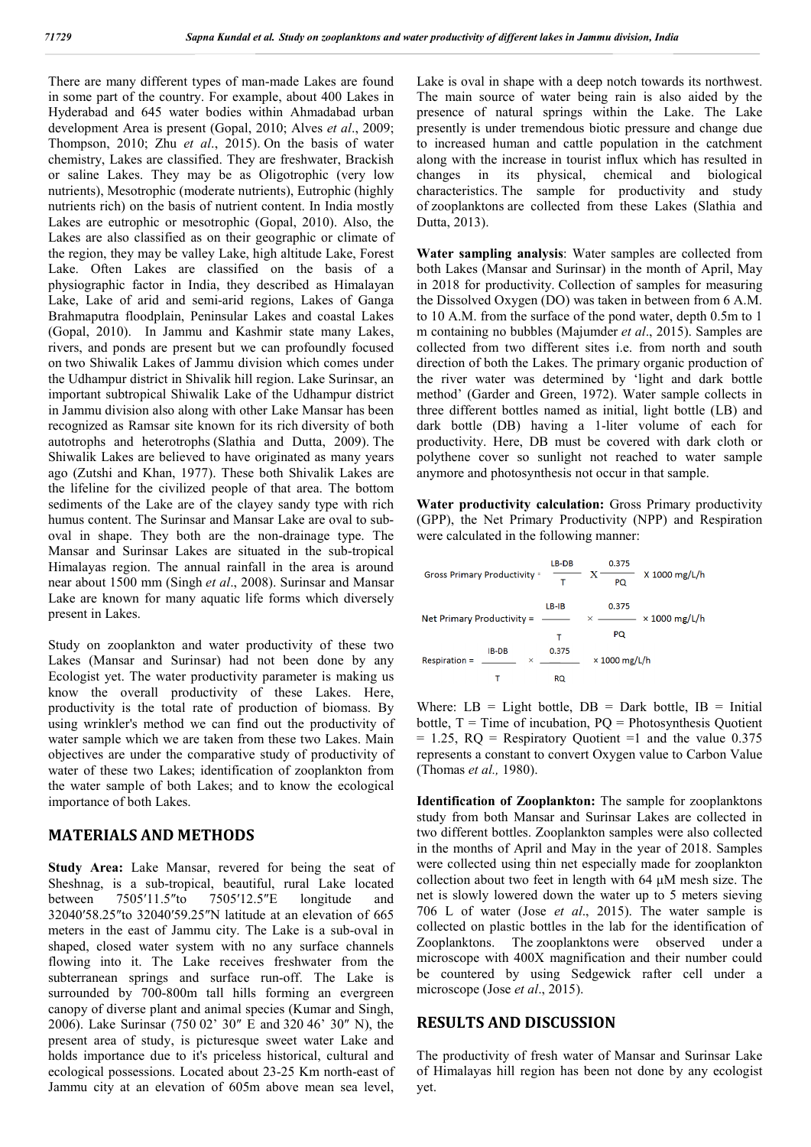There are many different types of man-made Lakes are found in some part of the country. For example, about 400 Lakes in Hyderabad and 645 water bodies within Ahmadabad urban development Area is present (Gopal, 2010; Alves *et al*., 2009; Thompson, 2010; Zhu *et al*., 2015). On the basis of water chemistry, Lakes are classified. They are freshwater, Brackish or saline Lakes. They may be as Oligotrophic (very low nutrients), Mesotrophic (moderate nutrients), Eutrophic (highly nutrients rich) on the basis of nutrient content. In India mostly Lakes are eutrophic or mesotrophic (Gopal, 2010). Also, the Lakes are also classified as on their geographic or climate of the region, they may be valley Lake, high altitude Lake, Forest Lake. Often Lakes are classified on the basis of a physiographic factor in India, they described as Himalayan Lake, Lake of arid and semi-arid regions, Lakes of Ganga Brahmaputra floodplain, Peninsular Lakes and coastal Lakes (Gopal, 2010). In Jammu and Kashmir state many Lakes, rivers, and ponds are present but we can profoundly focused on two Shiwalik Lakes of Jammu division which comes under the Udhampur district in Shivalik hill region. Lake Surinsar, an important subtropical Shiwalik Lake of the Udhampur district in Jammu division also along with other Lake Mansar has been recognized as Ramsar site known for its rich diversity of both autotrophs and heterotrophs (Slathia and Dutta, 2009). The Shiwalik Lakes are believed to have originated as many years ago (Zutshi and Khan, 1977). These both Shivalik Lakes are the lifeline for the civilized people of that area. The bottom sediments of the Lake are of the clayey sandy type with rich humus content. The Surinsar and Mansar Lake are oval to suboval in shape. They both are the non-drainage type. The Mansar and Surinsar Lakes are situated in the sub-tropical Himalayas region. The annual rainfall in the area is around near about 1500 mm (Singh *et al*., 2008). Surinsar and Mansar Lake are known for many aquatic life forms which diversely present in Lakes.

Study on zooplankton and water productivity of these two Lakes (Mansar and Surinsar) had not been done by any Ecologist yet. The water productivity parameter is making us know the overall productivity of these Lakes. Here, productivity is the total rate of production of biomass. By using wrinkler's method we can find out the productivity of water sample which we are taken from these two Lakes. Main objectives are under the comparative study of productivity of water of these two Lakes; identification of zooplankton from the water sample of both Lakes; and to know the ecological importance of both Lakes.

#### **MATERIALS AND METHODS**

**Study Area:** Lake Mansar, revered for being the seat of Sheshnag, is a sub-tropical, beautiful, rural Lake located between 7505′11.5″to 7505′12.5″E longitude and 32040′58.25″to 32040′59.25″N latitude at an elevation of 665 meters in the east of Jammu city. The Lake is a sub-oval in shaped, closed water system with no any surface channels flowing into it. The Lake receives freshwater from the subterranean springs and surface run-off. The Lake is surrounded by 700-800m tall hills forming an evergreen canopy of diverse plant and animal species (Kumar and Singh, 2006). Lake Surinsar (750 02' 30″ E and 320 46' 30″ N), the present area of study, is picturesque sweet water Lake and holds importance due to it's priceless historical, cultural and ecological possessions. Located about 23-25 Km north-east of Jammu city at an elevation of 605m above mean sea level, Lake is oval in shape with a deep notch towards its northwest. The main source of water being rain is also aided by the presence of natural springs within the Lake. The Lake presently is under tremendous biotic pressure and change due to increased human and cattle population in the catchment along with the increase in tourist influx which has resulted in changes in its physical, chemical and biological characteristics. The sample for productivity and study of zooplanktons are collected from these Lakes (Slathia and Dutta, 2013).

**Water sampling analysis**: Water samples are collected from both Lakes (Mansar and Surinsar) in the month of April, May in 2018 for productivity. Collection of samples for measuring the Dissolved Oxygen (DO) was taken in between from 6 A.M. to 10 A.M. from the surface of the pond water, depth 0.5m to 1 m containing no bubbles (Majumder *et al*., 2015). Samples are collected from two different sites i.e. from north and south direction of both the Lakes. The primary organic production of the river water was determined by 'light and dark bottle method' (Garder and Green, 1972). Water sample collects in three different bottles named as initial, light bottle (LB) and dark bottle (DB) having a 1-liter volume of each for productivity. Here, DB must be covered with dark cloth or polythene cover so sunlight not reached to water sample anymore and photosynthesis not occur in that sample.

**Water productivity calculation:** Gross Primary productivity (GPP), the Net Primary Productivity (NPP) and Respiration were calculated in the following manner:

|                 | Gross Primary Productivity = | LB-DB<br>т  | 0.375<br>$X$ 1000 mg/L/h<br>X<br>PQ                     |
|-----------------|------------------------------|-------------|---------------------------------------------------------|
|                 | Net Primary Productivity = - | $LB-IB$     | 0.375<br>$\times$ 1000 mg/L/h<br>$\times$ _______<br>PQ |
| $Respiration =$ | IB-DB<br>$\times$            | 0.375<br>RQ | $\times$ 1000 mg/L/h                                    |

Where:  $LB = Light bottle$ ,  $DB = Dark bottle$ ,  $IB = Initial$ bottle,  $T =$ Time of incubation,  $PQ =$  Photosynthesis Quotient  $= 1.25$ ,  $RQ =$  Respiratory Quotient  $=1$  and the value 0.375 represents a constant to convert Oxygen value to Carbon Value (Thomas *et al.,* 1980).

**Identification of Zooplankton:** The sample for zooplanktons study from both Mansar and Surinsar Lakes are collected in two different bottles. Zooplankton samples were also collected in the months of April and May in the year of 2018. Samples were collected using thin net especially made for zooplankton collection about two feet in length with 64 μM mesh size. The net is slowly lowered down the water up to 5 meters sieving 706 L of water (Jose *et al*., 2015). The water sample is collected on plastic bottles in the lab for the identification of Zooplanktons. The zooplanktons were observed under a microscope with 400X magnification and their number could be countered by using Sedgewick rafter cell under a microscope (Jose *et al*., 2015).

### **RESULTS AND DISCUSSION**

The productivity of fresh water of Mansar and Surinsar Lake of Himalayas hill region has been not done by any ecologist yet.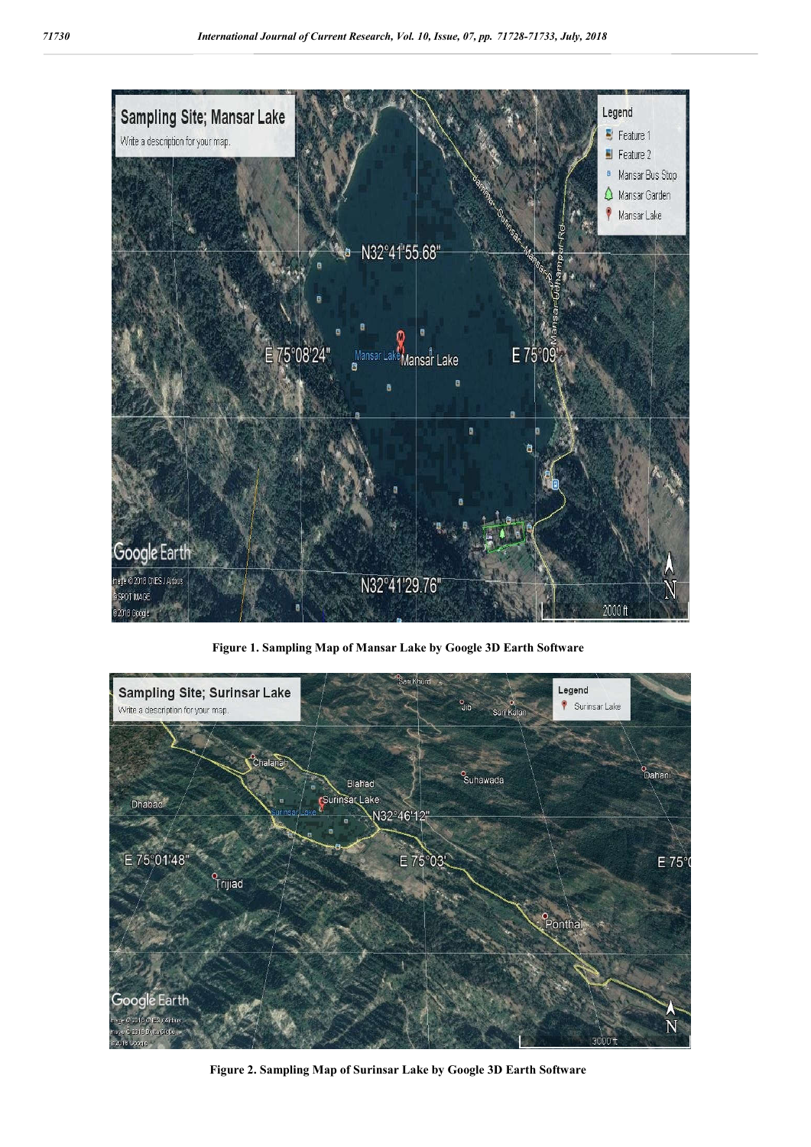

**Figure 1. Sampling Map of Mansar Lake by Google 3D Earth Software**



**Figure 2. Sampling Map of Surinsar Lake by Google 3D Earth Software**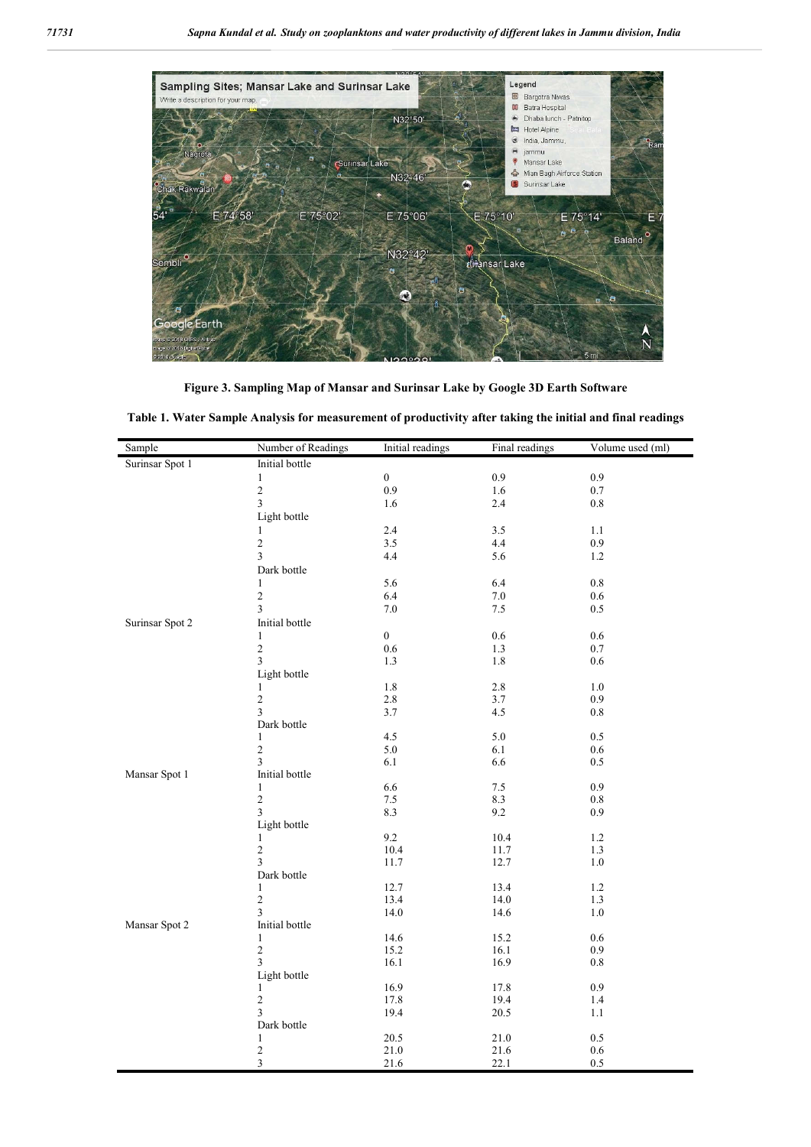

**Figure 3. Sampling Map of Mansar and Surinsar Lake by Google 3D Earth Software**

| Table 1. Water Sample Analysis for measurement of productivity after taking the initial and final readings |  |  |  |
|------------------------------------------------------------------------------------------------------------|--|--|--|
|------------------------------------------------------------------------------------------------------------|--|--|--|

| Sample          | Number of Readings         | Initial readings | Final readings | Volume used (ml) |
|-----------------|----------------------------|------------------|----------------|------------------|
| Surinsar Spot 1 | Initial bottle             |                  |                |                  |
|                 | $\mathbf{1}$               | $\boldsymbol{0}$ | 0.9            | 0.9              |
|                 | $\sqrt{2}$                 | 0.9              | 1.6            | 0.7              |
|                 | $\overline{3}$             | 1.6              | 2.4            | 0.8              |
|                 | Light bottle               |                  |                |                  |
|                 | 1                          | 2.4              | 3.5            | 1.1              |
|                 | $\mathfrak{2}$             | 3.5              | 4.4            | 0.9              |
|                 | $\mathfrak{Z}$             | 4.4              | 5.6            | 1.2              |
|                 | Dark bottle                |                  |                |                  |
|                 | 1                          | 5.6              | 6.4            | 0.8              |
|                 | $\sqrt{2}$                 | 6.4              | $7.0\,$        | 0.6              |
|                 | 3                          | $7.0\,$          | $7.5\,$        | 0.5              |
| Surinsar Spot 2 | Initial bottle             |                  |                |                  |
|                 | 1                          | $\boldsymbol{0}$ | 0.6            | 0.6              |
|                 | $\sqrt{2}$                 | $0.6\,$          | 1.3            | 0.7              |
|                 | $\overline{3}$             | 1.3              | 1.8            | 0.6              |
|                 | Light bottle               |                  |                |                  |
|                 | 1                          | $1.8\,$          | 2.8            | $1.0$            |
|                 | $\sqrt{2}$                 | $2.8\,$          | 3.7            | 0.9              |
|                 | 3                          | 3.7              | 4.5            | 0.8              |
|                 | Dark bottle                |                  |                |                  |
|                 | 1                          | 4.5              | 5.0            | 0.5              |
|                 | $\sqrt{2}$                 | $5.0\,$          | 6.1            | 0.6              |
|                 | $\mathfrak{Z}$             | 6.1              | 6.6            | 0.5              |
| Mansar Spot 1   | Initial bottle             |                  |                |                  |
|                 | $\mathbf{1}$               | 6.6              | 7.5            | 0.9              |
|                 | $\overline{c}$             | $7.5$            | 8.3            | $0.8\,$          |
|                 | $\mathfrak{Z}$             | 8.3              | 9.2            | 0.9              |
|                 | Light bottle               |                  |                |                  |
|                 | 1                          | 9.2              | 10.4           | 1.2              |
|                 | $\sqrt{2}$                 | 10.4             | 11.7           | 1.3              |
|                 | $\mathfrak{Z}$             | 11.7             | 12.7           | $1.0\,$          |
|                 | Dark bottle                |                  |                |                  |
|                 | 1                          | 12.7             | 13.4           | 1.2              |
|                 | $\sqrt{2}$                 | 13.4             | 14.0           | 1.3              |
|                 | 3                          | 14.0             | 14.6           | 1.0              |
| Mansar Spot 2   | Initial bottle             | 14.6             | 15.2           | 0.6              |
|                 | $\mathbf{1}$<br>$\sqrt{2}$ | 15.2             | 16.1           | 0.9              |
|                 | 3                          | 16.1             | 16.9           | 0.8              |
|                 | Light bottle               |                  |                |                  |
|                 | $\mathbf{1}$               | 16.9             | 17.8           | 0.9              |
|                 | $\sqrt{2}$                 | 17.8             | 19.4           | 1.4              |
|                 | 3                          | 19.4             | 20.5           | 1.1              |
|                 | Dark bottle                |                  |                |                  |
|                 | $\mathbf{1}$               | 20.5             | 21.0           | 0.5              |
|                 | $\overline{\mathbf{c}}$    | $21.0\,$         | 21.6           | $0.6\,$          |
|                 | 3                          | 21.6             | 22.1           | $0.5\,$          |
|                 |                            |                  |                |                  |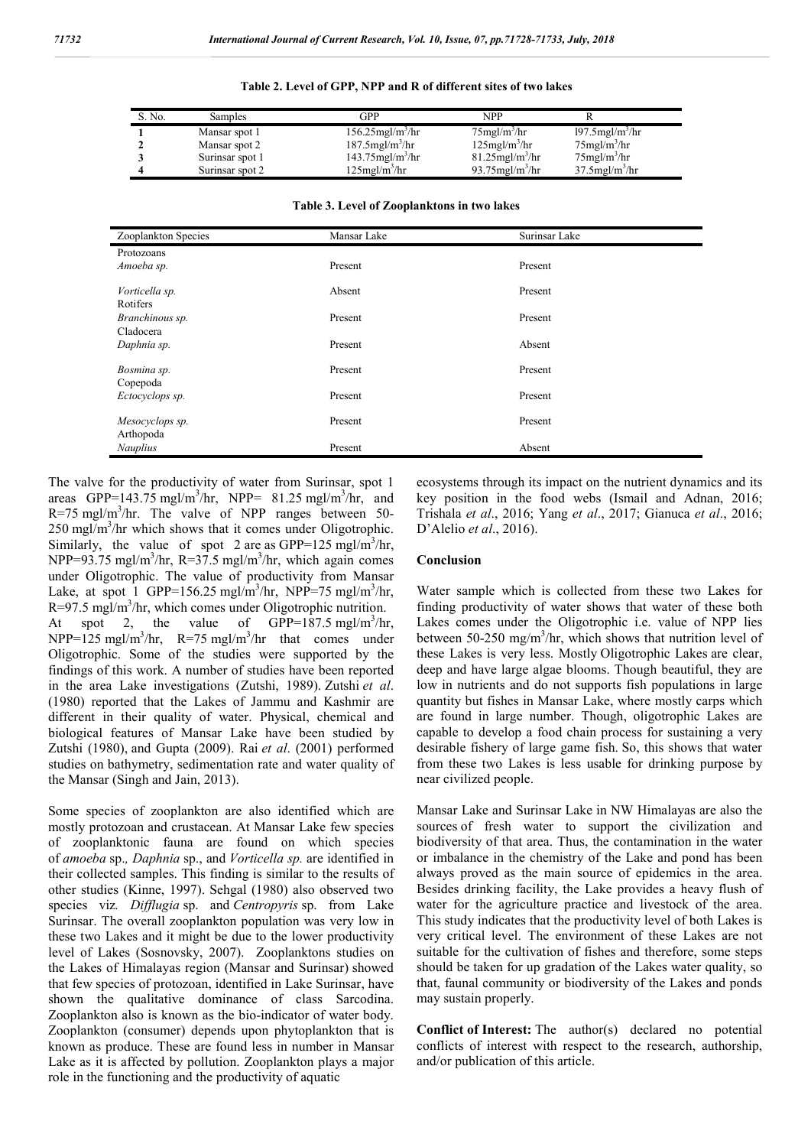| S. No. | Samples         | GPP                             | NPP                            |                                |
|--------|-----------------|---------------------------------|--------------------------------|--------------------------------|
|        | Mansar spot 1   | $156.25$ mgl/m <sup>3</sup> /hr | $75$ mgl/m <sup>3</sup> /hr    | $197.5$ mgl/m <sup>3</sup> /hr |
|        | Mansar spot 2   | $187.5$ mgl/m <sup>3</sup> /hr  | $125$ mgl/m <sup>3</sup> /hr   | $75$ mgl/m <sup>3</sup> /hr    |
|        | Surinsar spot 1 | $143.75$ mgl/m <sup>3</sup> /hr | $81.25$ mgl/m <sup>3</sup> /hr | $75$ mgl/m <sup>3</sup> /hr    |
|        | Surinsar spot 2 | $125$ mgl/m <sup>3</sup> /hr    | $93.75$ mgl/m <sup>3</sup> /hr | $37.5$ mgl/m <sup>3</sup> /hr  |

**Table 3. Level of Zooplanktons in two lakes**

| Zooplankton Species          | Mansar Lake | Surinsar Lake |
|------------------------------|-------------|---------------|
| Protozoans                   |             |               |
| Amoeba sp.                   | Present     | Present       |
| Vorticella sp.<br>Rotifers   | Absent      | Present       |
| Branchinous sp.              | Present     | Present       |
| Cladocera                    |             |               |
| Daphnia sp.                  | Present     | Absent        |
| Bosmina sp.<br>Copepoda      | Present     | Present       |
| Ectocyclops sp.              | Present     | Present       |
| Mesocyclops sp.<br>Arthopoda | Present     | Present       |
| <b>Nauplius</b>              | Present     | Absent        |

The valve for the productivity of water from Surinsar, spot 1 areas GPP=143.75 mgl/m<sup>3</sup>/hr, NPP=  $81.25$  mgl/m<sup>3</sup>/hr, and  $R = 75$  mgl/m<sup>3</sup>/hr. The valve of NPP ranges between 50-250 mgl/m<sup>3</sup>/hr which shows that it comes under Oligotrophic. Similarly, the value of spot 2 are as GPP=125 mgl/m<sup>3</sup>/hr, NPP=93.75 mgl/m<sup>3</sup>/hr, R=37.5 mgl/m<sup>3</sup>/hr, which again comes under Oligotrophic. The value of productivity from Mansar Lake, at spot 1 GPP=156.25 mgl/m<sup>3</sup>/hr, NPP=75 mgl/m<sup>3</sup>/hr,  $R = 97.5$  mgl/m<sup>3</sup>/hr, which comes under Oligotrophic nutrition. At spot 2, the value of  $GPP=187.5$  mgl/m<sup>3</sup>/hr, NPP=125 mgl/m<sup>3</sup>/hr, R=75 mgl/m<sup>3</sup>/hr that comes under Oligotrophic. Some of the studies were supported by the findings of this work. A number of studies have been reported in the area Lake investigations (Zutshi, 1989). Zutshi *et al*. (1980) reported that the Lakes of Jammu and Kashmir are different in their quality of water. Physical, chemical and biological features of Mansar Lake have been studied by Zutshi (1980), and Gupta (2009). Rai *et al*. (2001) performed studies on bathymetry, sedimentation rate and water quality of the Mansar (Singh and Jain, 2013).

Some species of zooplankton are also identified which are mostly protozoan and crustacean. At Mansar Lake few species of zooplanktonic fauna are found on which species of *amoeba* sp.*, Daphnia* sp., and *Vorticella sp.* are identified in their collected samples. This finding is similar to the results of other studies (Kinne, 1997). Sehgal (1980) also observed two species viz*. Difflugia* sp. and *Centropyris* sp. from Lake Surinsar. The overall zooplankton population was very low in these two Lakes and it might be due to the lower productivity level of Lakes (Sosnovsky, 2007). Zooplanktons studies on the Lakes of Himalayas region (Mansar and Surinsar) showed that few species of protozoan, identified in Lake Surinsar, have shown the qualitative dominance of class Sarcodina. Zooplankton also is known as the bio-indicator of water body. Zooplankton (consumer) depends upon phytoplankton that is known as produce. These are found less in number in Mansar Lake as it is affected by pollution. Zooplankton plays a major role in the functioning and the productivity of aquatic

ecosystems through its impact on the nutrient dynamics and its key position in the food webs (Ismail and Adnan, 2016; Trishala *et al*., 2016; Yang *et al*., 2017; Gianuca *et al*., 2016; D'Alelio *et al*., 2016).

#### **Conclusion**

Water sample which is collected from these two Lakes for finding productivity of water shows that water of these both Lakes comes under the Oligotrophic i.e. value of NPP lies between 50-250 mg/m<sup>3</sup>/hr, which shows that nutrition level of these Lakes is very less. Mostly Oligotrophic Lakes are clear, deep and have large algae blooms. Though beautiful, they are low in nutrients and do not supports fish populations in large quantity but fishes in Mansar Lake, where mostly carps which are found in large number. Though, oligotrophic Lakes are capable to develop a food chain process for sustaining a very desirable fishery of large game fish. So, this shows that water from these two Lakes is less usable for drinking purpose by near civilized people.

Mansar Lake and Surinsar Lake in NW Himalayas are also the sources of fresh water to support the civilization and biodiversity of that area. Thus, the contamination in the water or imbalance in the chemistry of the Lake and pond has been always proved as the main source of epidemics in the area. Besides drinking facility, the Lake provides a heavy flush of water for the agriculture practice and livestock of the area. This study indicates that the productivity level of both Lakes is very critical level. The environment of these Lakes are not suitable for the cultivation of fishes and therefore, some steps should be taken for up gradation of the Lakes water quality, so that, faunal community or biodiversity of the Lakes and ponds may sustain properly.

**Conflict of Interest:** The author(s) declared no potential conflicts of interest with respect to the research, authorship, and/or publication of this article.